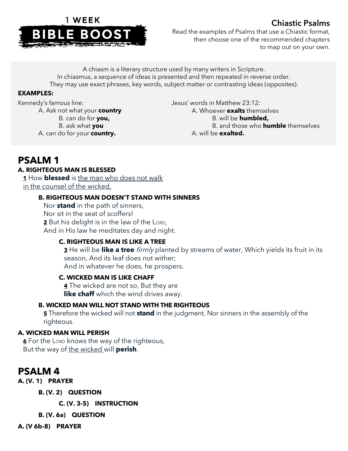

# Chiastic Psalms

Read the examples of Psalms that use a Chiastic format, then choose one of the recommended chapters to map out on your own.

A chiasm is a literary structure used by many writers in Scripture. In chiasmus, a sequence of ideas is presented and then repeated in reverse order. They may use exact phrases, key words, subject matter or contrasting ideas (opposites).

#### **EXAMPLES:**

Kennedy's famous line: A. Ask not what your **country** B. can do for **you,** B. ask what **you** A. can do for your **country.**

Jesus' words in Matthew 23:12: A. Whoever **exalts** themselves B. will be **humbled,** B. and those who **humble** themselves A. will be **exalted.**

# **PSALM 1**

## **A. RIGHTEOUS MAN IS BLESSED**

**1** How **blessed** is the man who does not walk in the counsel of the wicked,

#### **B. RIGHTEOUS MAN DOESN'T STAND WITH SINNERS**

Nor **stand** in the path of sinners, Nor sit in the seat of scoffers! **2** But his delight is in the law of the LORD, And in His law he meditates day and night.

## **C. RIGHTEOUS MAN IS LIKE A TREE**

**3** He will be **like a tree** firmly planted by streams of water, Which yields its fruit in its season, And its leaf does not wither; And in whatever he does, he prospers.

## **C. WICKED MAN IS LIKE CHAFF**

**4** The wicked are not so, But they are **like chaff** which the wind drives away.

## **B. WICKED MAN WILL NOT STAND WITH THE RIGHTEOUS**

**5** Therefore the wicked will not **stand** in the judgment, Nor sinners in the assembly of the righteous.

#### **A. WICKED MAN WILL PERISH**

**6** For the LORD knows the way of the righteous, But the way of the wicked will **perish**.

# **PSALM 4**

**A. (V. 1) PRAYER**

**B. (V. 2) QUESTION**

**C. (V. 3-5) INSTRUCTION**

**B. (V. 6a) QUESTION**

**A. (V 6b-8) PRAYER**